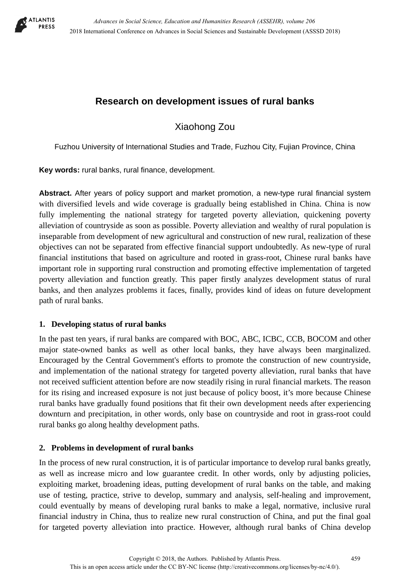

# **Research on development issues of rural banks**

Xiaohong Zou

Fuzhou University of International Studies and Trade, Fuzhou City, Fujian Province, China

**Key words:** rural banks, rural finance, development.

**Abstract.** After years of policy support and market promotion, a new-type rural financial system with diversified levels and wide coverage is gradually being established in China. China is now fully implementing the national strategy for targeted poverty alleviation, quickening poverty alleviation of countryside as soon as possible. Poverty alleviation and wealthy of rural population is inseparable from development of new agricultural and construction of new rural, realization of these objectives can not be separated from effective financial support undoubtedly. As new-type of rural financial institutions that based on agriculture and rooted in grass-root, Chinese rural banks have important role in supporting rural construction and promoting effective implementation of targeted poverty alleviation and function greatly. This paper firstly analyzes development status of rural banks, and then analyzes problems it faces, finally, provides kind of ideas on future development path of rural banks.

# **1. Developing status of rural banks**

In the past ten years, if rural banks are compared with BOC, ABC, ICBC, CCB, BOCOM and other major state-owned banks as well as other local banks, they have always been marginalized. Encouraged by the Central Government's efforts to promote the construction of new countryside, and implementation of the national strategy for targeted poverty alleviation, rural banks that have not received sufficient attention before are now steadily rising in rural financial markets. The reason for its rising and increased exposure is not just because of policy boost, it's more because Chinese rural banks have gradually found positions that fit their own development needs after experiencing downturn and precipitation, in other words, only base on countryside and root in grass-root could rural banks go along healthy development paths.

# **2. Problems in development of rural banks**

In the process of new rural construction, it is of particular importance to develop rural banks greatly, as well as increase micro and low guarantee credit. In other words, only by adjusting policies, exploiting market, broadening ideas, putting development of rural banks on the table, and making use of testing, practice, strive to develop, summary and analysis, self-healing and improvement, could eventually by means of developing rural banks to make a legal, normative, inclusive rural financial industry in China, thus to realize new rural construction of China, and put the final goal for targeted poverty alleviation into practice. However, although rural banks of China develop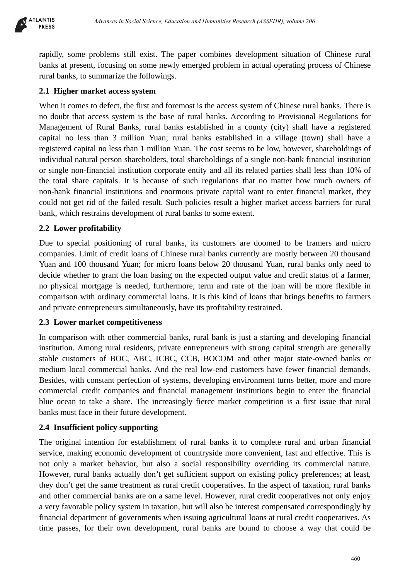

rapidly, some problems still exist. The paper combines development situation of Chinese rural banks at present, focusing on some newly emerged problem in actual operating process of Chinese rural banks, to summarize the followings.

## **2.1 Higher market access system**

When it comes to defect, the first and foremost is the access system of Chinese rural banks. There is no doubt that access system is the base of rural banks. According to Provisional Regulations for Management of Rural Banks, rural banks established in a county (city) shall have a registered capital no less than 3 million Yuan; rural banks established in a village (town) shall have a registered capital no less than 1 million Yuan. The cost seems to be low, however, shareholdings of individual natural person shareholders, total shareholdings of a single non-bank financial institution or single non-financial institution corporate entity and all its related parties shall less than 10% of the total share capitals. It is because of such regulations that no matter how much owners of non-bank financial institutions and enormous private capital want to enter financial market, they could not get rid of the failed result. Such policies result a higher market access barriers for rural bank, which restrains development of rural banks to some extent. debenes in Social Science, Education and Humanities Research (ASSEHR), volume 206<br>
coldens still exist. The paper combines development situation of Chinese are<br>
focusing an osmo newly emerged problem in actual Operating pr

## **2.2 Lower profitability**

Due to special positioning of rural banks, its customers are doomed to be framers and micro companies. Limit of credit loans of Chinese rural banks currently are mostly between 20 thousand Yuan and 100 thousand Yuan; for micro loans below 20 thousand Yuan, rural banks only need to decide whether to grant the loan basing on the expected output value and credit status of a farmer, no physical mortgage is needed, furthermore, term and rate of the loan will be more flexible in comparison with ordinary commercial loans. It is this kind of loans that brings benefits to farmers and private entrepreneurs simultaneously, have its profitability restrained.

### **2.3 Lower market competitiveness**

In comparison with other commercial banks, rural bank is just a starting and developing financial institution. Among rural residents, private entrepreneurs with strong capital strength are generally stable customers of BOC, ABC, ICBC, CCB, BOCOM and other major state-owned banks or medium local commercial banks. And the real low-end customers have fewer financial demands. Besides, with constant perfection of systems, developing environment turns better, more and more commercial credit companies and financial management institutions begin to enter the financial blue ocean to take a share. The increasingly fierce market competition is a first issue that rural banks must face in their future development.

### **2.4 Insufficient policy supporting**

The original intention for establishment of rural banks it to complete rural and urban financial service, making economic development of countryside more convenient, fast and effective. This is not only a market behavior, but also a social responsibility overriding its commercial nature. However, rural banks actually don't get sufficient support on existing policy preferences; at least, they don't get the same treatment as rural credit cooperatives. In the aspect of taxation, rural banks and other commercial banks are on a same level. However, rural credit cooperatives not only enjoy a very favorable policy system in taxation, but will also be interest compensated correspondingly by financial department of governments when issuing agricultural loans at rural credit cooperatives. As time passes, for their own development, rural banks are bound to choose a way that could be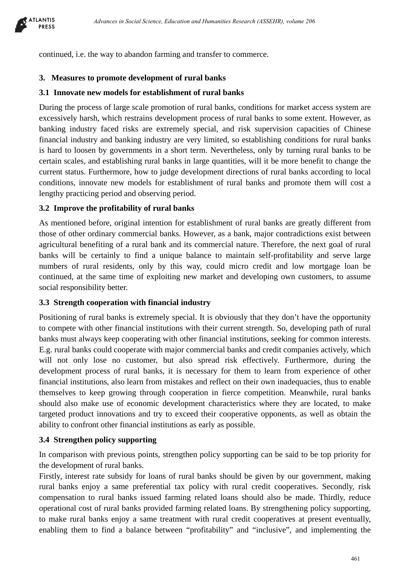

continued, i.e. the way to abandon farming and transfer to commerce.

# **3. Measures to promote development of rural banks**

## **3.1 Innovate new models for establishment of rural banks**

During the process of large scale promotion of rural banks, conditions for market access system are excessively harsh, which restrains development process of rural banks to some extent. However, as banking industry faced risks are extremely special, and risk supervision capacities of Chinese financial industry and banking industry are very limited, so establishing conditions for rural banks is hard to loosen by governments in a short term. Nevertheless, only by turning rural banks to be certain scales, and establishing rural banks in large quantities, will it be more benefit to change the current status. Furthermore, how to judge development directions of rural banks according to local conditions, innovate new models for establishment of rural banks and promote them will cost a lengthy practicing period and observing period.

## **3.2 Improve the profitability of rural banks**

As mentioned before, original intention for establishment of rural banks are greatly different from those of other ordinary commercial banks. However, as a bank, major contradictions exist between agricultural benefiting of a rural bank and its commercial nature. Therefore, the next goal of rural banks will be certainly to find a unique balance to maintain self-profitability and serve large numbers of rural residents, only by this way, could micro credit and low mortgage loan be continued, at the same time of exploiting new market and developing own customers, to assume social responsibility better.

### **3.3 Strength cooperation with financial industry**

Positioning of rural banks is extremely special. It is obviously that they don't have the opportunity to compete with other financial institutions with their current strength. So, developing path of rural banks must always keep cooperating with other financial institutions, seeking for common interests. E.g. rural banks could cooperate with major commercial banks and credit companies actively, which will not only lose no customer, but also spread risk effectively. Furthermore, during the development process of rural banks, it is necessary for them to learn from experience of other financial institutions, also learn from mistakes and reflect on their own inadequacies, thus to enable themselves to keep growing through cooperation in fierce competition. Meanwhile, rural banks should also make use of economic development characteristics where they are located, to make targeted product innovations and try to exceed their cooperative opponents, as well as obtain the ability to confront other financial institutions as early as possible. *Absence in Social Science, Education and Humanities Research (ASSEHR), volume 206*<br>e way to absund farming and transfer to commerce.<br>
promoted development of rural banks<br>
we models for establishment of rural banks<br>
we mod

### **3.4 Strengthen policy supporting**

In comparison with previous points, strengthen policy supporting can be said to be top priority for the development of rural banks.

Firstly, interest rate subsidy for loans of rural banks should be given by our government, making rural banks enjoy a same preferential tax policy with rural credit cooperatives. Secondly, risk compensation to rural banks issued farming related loans should also be made. Thirdly, reduce operational cost of rural banks provided farming related loans. By strengthening policy supporting, to make rural banks enjoy a same treatment with rural credit cooperatives at present eventually, enabling them to find a balance between "profitability" and "inclusive", and implementing the